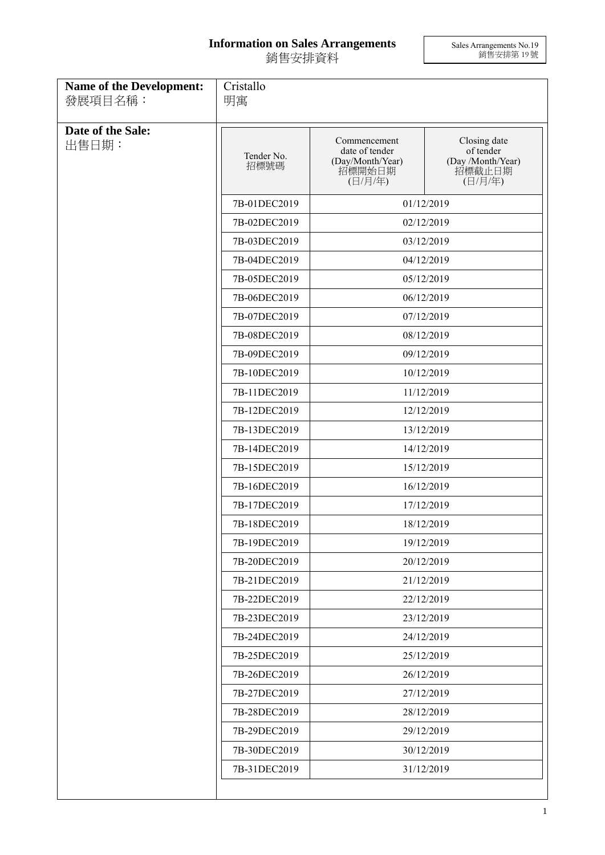## **Information on Sales Arrangements** 銷售安排資料

Sales Arrangements No.19 銷售安排第 19 號

| <b>Name of the Development:</b><br>發展項目名稱: | Cristallo<br>明寓    |                                                                         |                                                                     |
|--------------------------------------------|--------------------|-------------------------------------------------------------------------|---------------------------------------------------------------------|
| Date of the Sale:<br>出售日期:                 | Tender No.<br>招標號碼 | Commencement<br>date of tender<br>(Day/Month/Year)<br>招標開始日期<br>(日/月/年) | Closing date<br>of tender<br>(Day /Month/Year)<br>招標截止日期<br>(日/月/年) |
|                                            | 7B-01DEC2019       | 01/12/2019                                                              |                                                                     |
|                                            | 7B-02DEC2019       | 02/12/2019                                                              |                                                                     |
|                                            | 7B-03DEC2019       | 03/12/2019                                                              |                                                                     |
|                                            | 7B-04DEC2019       | 04/12/2019                                                              |                                                                     |
|                                            | 7B-05DEC2019       | 05/12/2019                                                              |                                                                     |
|                                            | 7B-06DEC2019       | 06/12/2019                                                              |                                                                     |
|                                            | 7B-07DEC2019       | 07/12/2019                                                              |                                                                     |
|                                            | 7B-08DEC2019       | 08/12/2019                                                              |                                                                     |
|                                            | 7B-09DEC2019       | 09/12/2019                                                              |                                                                     |
|                                            | 7B-10DEC2019       | 10/12/2019                                                              |                                                                     |
|                                            | 7B-11DEC2019       | 11/12/2019                                                              |                                                                     |
|                                            | 7B-12DEC2019       | 12/12/2019                                                              |                                                                     |
|                                            | 7B-13DEC2019       | 13/12/2019                                                              |                                                                     |
|                                            | 7B-14DEC2019       | 14/12/2019                                                              |                                                                     |
|                                            | 7B-15DEC2019       | 15/12/2019                                                              |                                                                     |
|                                            | 7B-16DEC2019       | 16/12/2019                                                              |                                                                     |
|                                            | 7B-17DEC2019       | 17/12/2019                                                              |                                                                     |
|                                            | 7B-18DEC2019       | 18/12/2019                                                              |                                                                     |
|                                            | 7B-19DEC2019       | 19/12/2019                                                              |                                                                     |
|                                            | 7B-20DEC2019       | 20/12/2019                                                              |                                                                     |
|                                            | 7B-21DEC2019       | 21/12/2019                                                              |                                                                     |
|                                            | 7B-22DEC2019       | 22/12/2019                                                              |                                                                     |
|                                            | 7B-23DEC2019       | 23/12/2019                                                              |                                                                     |
|                                            | 7B-24DEC2019       | 24/12/2019                                                              |                                                                     |
|                                            | 7B-25DEC2019       | 25/12/2019                                                              |                                                                     |
|                                            | 7B-26DEC2019       |                                                                         | 26/12/2019                                                          |
|                                            | 7B-27DEC2019       | 27/12/2019                                                              |                                                                     |
|                                            | 7B-28DEC2019       | 28/12/2019                                                              |                                                                     |
|                                            | 7B-29DEC2019       |                                                                         | 29/12/2019                                                          |
|                                            | 7B-30DEC2019       | 30/12/2019                                                              |                                                                     |
|                                            | 7B-31DEC2019       | 31/12/2019                                                              |                                                                     |
|                                            |                    |                                                                         |                                                                     |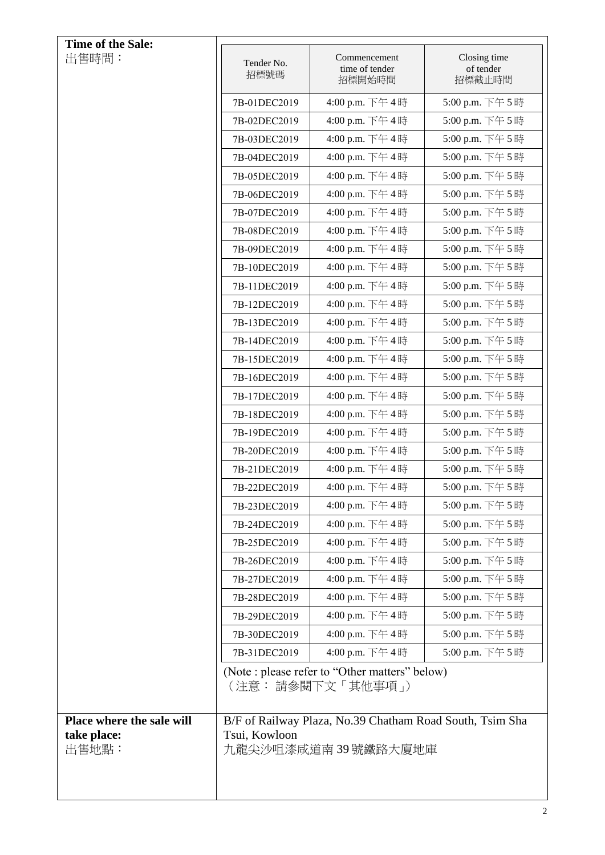| Time of the Sale:                                 |                    |                                                                                  |                                     |
|---------------------------------------------------|--------------------|----------------------------------------------------------------------------------|-------------------------------------|
| 出售時間:                                             | Tender No.<br>招標號碼 | Commencement<br>time of tender<br>招標開始時間                                         | Closing time<br>of tender<br>招標截止時間 |
|                                                   | 7B-01DEC2019       | 4:00 p.m. 下午4時                                                                   | 5:00 p.m. 下午5時                      |
|                                                   | 7B-02DEC2019       | 4:00 p.m. 下午4時                                                                   | 5:00 p.m. 下午5時                      |
|                                                   | 7B-03DEC2019       | 4:00 p.m. 下午4時                                                                   | 5:00 p.m. 下午5時                      |
|                                                   | 7B-04DEC2019       | 4:00 p.m. 下午4時                                                                   | 5:00 p.m. 下午5時                      |
|                                                   | 7B-05DEC2019       | 4:00 p.m. 下午4時                                                                   | 5:00 p.m. 下午5時                      |
|                                                   | 7B-06DEC2019       | 4:00 p.m. 下午4時                                                                   | 5:00 p.m. 下午5時                      |
|                                                   | 7B-07DEC2019       | 4:00 p.m. 下午4時                                                                   | 5:00 p.m. 下午5時                      |
|                                                   | 7B-08DEC2019       | 4:00 p.m. 下午4時                                                                   | 5:00 p.m. 下午5時                      |
|                                                   | 7B-09DEC2019       | 4:00 p.m. 下午4時                                                                   | 5:00 p.m. 下午5時                      |
|                                                   | 7B-10DEC2019       | 4:00 p.m. 下午4時                                                                   | 5:00 p.m. 下午5時                      |
|                                                   | 7B-11DEC2019       | 4:00 p.m. 下午4時                                                                   | 5:00 p.m. 下午5時                      |
|                                                   | 7B-12DEC2019       | 4:00 p.m. 下午4時                                                                   | 5:00 p.m. 下午5時                      |
|                                                   | 7B-13DEC2019       | 4:00 p.m. 下午4時                                                                   | 5:00 p.m. 下午5時                      |
|                                                   | 7B-14DEC2019       | 4:00 p.m. 下午4時                                                                   | 5:00 p.m. 下午5時                      |
|                                                   | 7B-15DEC2019       | 4:00 p.m. 下午4時                                                                   | 5:00 p.m. 下午5時                      |
|                                                   | 7B-16DEC2019       | 4:00 p.m. 下午4時                                                                   | 5:00 p.m. 下午5時                      |
|                                                   | 7B-17DEC2019       | 4:00 p.m. 下午4時                                                                   | 5:00 p.m. 下午5時                      |
|                                                   | 7B-18DEC2019       | 4:00 p.m. 下午4時                                                                   | 5:00 p.m. 下午5時                      |
|                                                   | 7B-19DEC2019       | 4:00 p.m. 下午4時                                                                   | 5:00 p.m. 下午5時                      |
|                                                   | 7B-20DEC2019       | 4:00 p.m. 下午4時                                                                   | 5:00 p.m. 下午5時                      |
|                                                   | 7B-21DEC2019       | 4:00 p.m. 下午4時                                                                   | 5:00 p.m. 下午5時                      |
|                                                   | 7B-22DEC2019       | 4:00 p.m. 下午4時                                                                   | 5:00 p.m. 下午 5 時                    |
|                                                   | 7B-23DEC2019       | 4:00 p.m. 下午4時                                                                   | 5:00 p.m. 下午5時                      |
|                                                   | 7B-24DEC2019       | 4:00 p.m. 下午4時                                                                   | 5:00 p.m. 下午5時                      |
|                                                   | 7B-25DEC2019       | 4:00 p.m. 下午4時                                                                   | 5:00 p.m. 下午5時                      |
|                                                   | 7B-26DEC2019       | 4:00 p.m. 下午4時                                                                   | 5:00 p.m. 下午5時                      |
|                                                   | 7B-27DEC2019       | 4:00 p.m. 下午4時                                                                   | 5:00 p.m. 下午5時                      |
|                                                   | 7B-28DEC2019       | 4:00 p.m. 下午4時                                                                   | 5:00 p.m. 下午5時                      |
|                                                   | 7B-29DEC2019       | 4:00 p.m. 下午4時                                                                   | 5:00 p.m. 下午5時                      |
|                                                   | 7B-30DEC2019       | 4:00 p.m. 下午4時                                                                   | 5:00 p.m. 下午5時                      |
|                                                   | 7B-31DEC2019       | 4:00 p.m. 下午4時                                                                   | 5:00 p.m. 下午5時                      |
|                                                   |                    | (Note : please refer to "Other matters" below)<br>(注意: 請參閱下文「其他事項」)              |                                     |
| Place where the sale will<br>take place:<br>出售地點: | Tsui, Kowloon      | B/F of Railway Plaza, No.39 Chatham Road South, Tsim Sha<br>九龍尖沙咀漆咸道南 39 號鐵路大廈地庫 |                                     |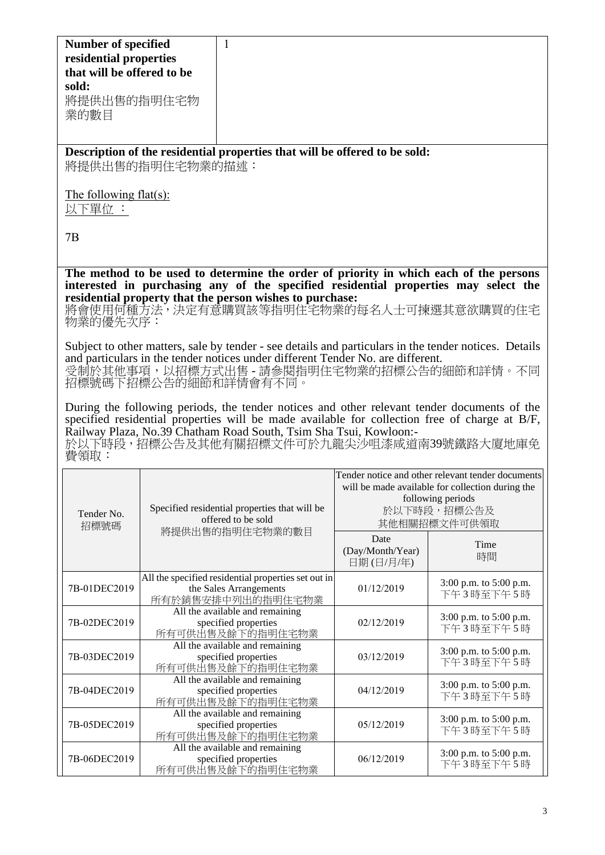| <b>Number of specified</b><br>residential properties<br>that will be offered to be<br>sold:<br>將提供出售的指明住宅物                                                                                                                                                                                                            | 1                                                                                                                                                                                                                                                                                   |                                       |                                                                                                                                                           |  |
|-----------------------------------------------------------------------------------------------------------------------------------------------------------------------------------------------------------------------------------------------------------------------------------------------------------------------|-------------------------------------------------------------------------------------------------------------------------------------------------------------------------------------------------------------------------------------------------------------------------------------|---------------------------------------|-----------------------------------------------------------------------------------------------------------------------------------------------------------|--|
| 業的數目                                                                                                                                                                                                                                                                                                                  |                                                                                                                                                                                                                                                                                     |                                       |                                                                                                                                                           |  |
|                                                                                                                                                                                                                                                                                                                       | Description of the residential properties that will be offered to be sold:<br>將提供出售的指明住宅物業的描述:                                                                                                                                                                                      |                                       |                                                                                                                                                           |  |
| The following flat(s):<br>以下單位:                                                                                                                                                                                                                                                                                       |                                                                                                                                                                                                                                                                                     |                                       |                                                                                                                                                           |  |
| 7B                                                                                                                                                                                                                                                                                                                    |                                                                                                                                                                                                                                                                                     |                                       |                                                                                                                                                           |  |
| 物業的優先次序:                                                                                                                                                                                                                                                                                                              | The method to be used to determine the order of priority in which each of the persons<br>interested in purchasing any of the specified residential properties may select the<br>residential property that the person wishes to purchase:<br>將會使用何種方法,決定有意購買該等指明住宅物業的每名人士可揀選其意欲購買的住宅 |                                       |                                                                                                                                                           |  |
| Subject to other matters, sale by tender - see details and particulars in the tender notices. Details<br>and particulars in the tender notices under different Tender No. are different.<br>受制於其他事項,以招標方式出售 - 請參閱指明住宅物業的招標公告的細節和詳情。不同<br>招標號碼下招標公告的細節和詳情會有不同。                                                         |                                                                                                                                                                                                                                                                                     |                                       |                                                                                                                                                           |  |
| During the following periods, the tender notices and other relevant tender documents of the<br>specified residential properties will be made available for collection free of charge at B/F,<br>Railway Plaza, No.39 Chatham Road South, Tsim Sha Tsui, Kowloon:-<br>於以下時段,招標公告及其他有關招標文件可於九龍尖沙咀漆咸道南39號鐵路大廈地庫免<br>費領取: |                                                                                                                                                                                                                                                                                     |                                       |                                                                                                                                                           |  |
| Tender No.<br>招標號碼                                                                                                                                                                                                                                                                                                    | Specified residential properties that will be<br>offered to be sold                                                                                                                                                                                                                 |                                       | Tender notice and other relevant tender documents<br>will be made available for collection during the<br>following periods<br>於以下時段,招標公告及<br>其他相關招標文件可供領取 |  |
|                                                                                                                                                                                                                                                                                                                       | 將提供出售的指明住宅物業的數目                                                                                                                                                                                                                                                                     | Date<br>(Day/Month/Year)<br>日期(日/月/年) | Time<br>時間                                                                                                                                                |  |
| 7B-01DEC2019                                                                                                                                                                                                                                                                                                          | All the specified residential properties set out in<br>the Sales Arrangements<br>所有於銷售安排中列出的指明住宅物業                                                                                                                                                                                  | 01/12/2019                            | 3:00 p.m. to 5:00 p.m.<br>下午3時至下午5時                                                                                                                       |  |
| 7B-02DEC2019                                                                                                                                                                                                                                                                                                          | All the available and remaining<br>specified properties<br>所有可供出售及餘下的指明住宅物業                                                                                                                                                                                                         | 02/12/2019                            | 3:00 p.m. to 5:00 p.m.<br>下午3時至下午5時                                                                                                                       |  |
| 7B-03DEC2019                                                                                                                                                                                                                                                                                                          | All the available and remaining<br>specified properties<br>所有可供出售及餘下的指明住宅物業                                                                                                                                                                                                         | 03/12/2019                            | 3:00 p.m. to 5:00 p.m.<br>下午3時至下午5時                                                                                                                       |  |
| 7B-04DEC2019                                                                                                                                                                                                                                                                                                          | All the available and remaining<br>specified properties<br>所有可供出售及餘下的指明住宅物業                                                                                                                                                                                                         | 04/12/2019                            | 3:00 p.m. to 5:00 p.m.<br>下午3時至下午5時                                                                                                                       |  |
| 7B-05DEC2019                                                                                                                                                                                                                                                                                                          | All the available and remaining<br>specified properties<br>所有可供出售及餘下的指明住宅物業                                                                                                                                                                                                         | 05/12/2019                            | 3:00 p.m. to 5:00 p.m.<br>下午3時至下午5時                                                                                                                       |  |

7B-06DEC2019

All the available and remaining specified properties 所有可供出售及餘下的指明住宅物業

06/12/2019 3:00 p.m. to 5:00 p.m. 下午 3 時至下午 5 時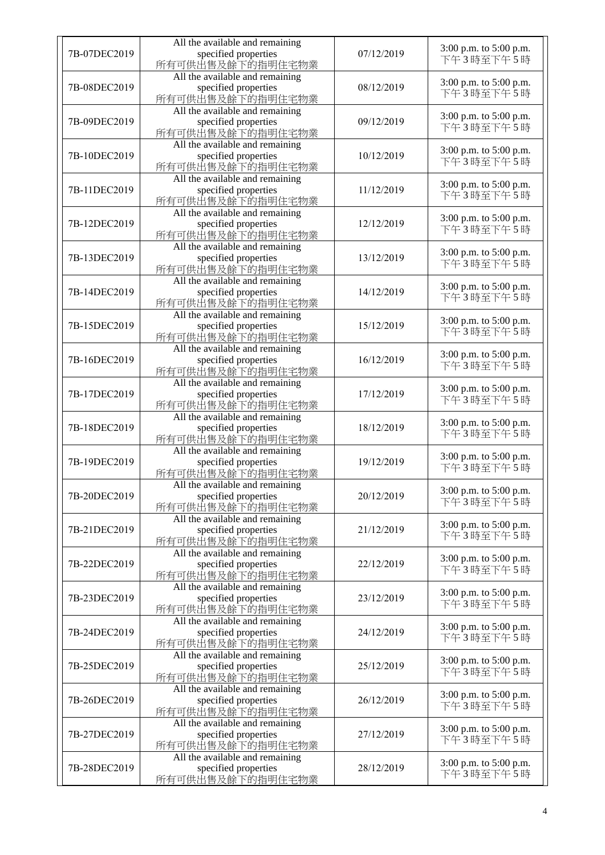| 7B-07DEC2019 | All the available and remaining<br>specified properties<br>所有可供出售及餘下的指明住宅物業 | 07/12/2019 | 3:00 p.m. to 5:00 p.m.<br>下午3時至下午5時 |
|--------------|-----------------------------------------------------------------------------|------------|-------------------------------------|
| 7B-08DEC2019 | All the available and remaining<br>specified properties<br>所有可供出售及餘下的指明住宅物業 | 08/12/2019 | 3:00 p.m. to 5:00 p.m.<br>下午3時至下午5時 |
| 7B-09DEC2019 | All the available and remaining<br>specified properties<br>所有可供出售及餘下的指明住宅物業 | 09/12/2019 | 3:00 p.m. to 5:00 p.m.<br>下午3時至下午5時 |
| 7B-10DEC2019 | All the available and remaining<br>specified properties<br>所有可供出售及餘下的指明住宅物業 | 10/12/2019 | 3:00 p.m. to 5:00 p.m.<br>下午3時至下午5時 |
| 7B-11DEC2019 | All the available and remaining<br>specified properties<br>所有可供出售及餘下的指明住宅物業 | 11/12/2019 | 3:00 p.m. to 5:00 p.m.<br>下午3時至下午5時 |
| 7B-12DEC2019 | All the available and remaining<br>specified properties<br>所有可供出售及餘下的指明住宅物業 | 12/12/2019 | 3:00 p.m. to 5:00 p.m.<br>下午3時至下午5時 |
| 7B-13DEC2019 | All the available and remaining<br>specified properties<br>所有可供出售及餘下的指明住宅物業 | 13/12/2019 | 3:00 p.m. to 5:00 p.m.<br>下午3時至下午5時 |
| 7B-14DEC2019 | All the available and remaining<br>specified properties<br>所有可供出售及餘下的指明住宅物業 | 14/12/2019 | 3:00 p.m. to 5:00 p.m.<br>下午3時至下午5時 |
| 7B-15DEC2019 | All the available and remaining<br>specified properties<br>所有可供出售及餘下的指明住宅物業 | 15/12/2019 | 3:00 p.m. to 5:00 p.m.<br>下午3時至下午5時 |
| 7B-16DEC2019 | All the available and remaining<br>specified properties<br>所有可供出售及餘下的指明住宅物業 | 16/12/2019 | 3:00 p.m. to 5:00 p.m.<br>下午3時至下午5時 |
| 7B-17DEC2019 | All the available and remaining<br>specified properties<br>所有可供出售及餘下的指明住宅物業 | 17/12/2019 | 3:00 p.m. to 5:00 p.m.<br>下午3時至下午5時 |
| 7B-18DEC2019 | All the available and remaining<br>specified properties<br>所有可供出售及餘下的指明住宅物業 | 18/12/2019 | 3:00 p.m. to 5:00 p.m.<br>下午3時至下午5時 |
| 7B-19DEC2019 | All the available and remaining<br>specified properties<br>所有可供出售及餘下的指明住宅物業 | 19/12/2019 | 3:00 p.m. to 5:00 p.m.<br>下午3時至下午5時 |
| 7B-20DEC2019 | All the available and remaining<br>specified properties<br>所有可供出售及餘下的指明住宅物業 | 20/12/2019 | 3:00 p.m. to 5:00 p.m.<br>下午3時至下午5時 |
| 7B-21DEC2019 | All the available and remaining<br>specified properties<br>所有可供出售及餘下的指明住宅物業 | 21/12/2019 | 3:00 p.m. to 5:00 p.m.<br>下午3時至下午5時 |
| 7B-22DEC2019 | All the available and remaining<br>specified properties<br>所有可供出售及餘下的指明住宅物業 | 22/12/2019 | 3:00 p.m. to 5:00 p.m.<br>下午3時至下午5時 |
| 7B-23DEC2019 | All the available and remaining<br>specified properties<br>所有可供出售及餘下的指明住宅物業 | 23/12/2019 | 3:00 p.m. to 5:00 p.m.<br>下午3時至下午5時 |
| 7B-24DEC2019 | All the available and remaining<br>specified properties<br>所有可供出售及餘下的指明住宅物業 | 24/12/2019 | 3:00 p.m. to 5:00 p.m.<br>下午3時至下午5時 |
| 7B-25DEC2019 | All the available and remaining<br>specified properties<br>所有可供出售及餘下的指明住宅物業 | 25/12/2019 | 3:00 p.m. to 5:00 p.m.<br>下午3時至下午5時 |
| 7B-26DEC2019 | All the available and remaining<br>specified properties<br>所有可供出售及餘下的指明住宅物業 | 26/12/2019 | 3:00 p.m. to 5:00 p.m.<br>下午3時至下午5時 |
| 7B-27DEC2019 | All the available and remaining<br>specified properties<br>所有可供出售及餘下的指明住宅物業 | 27/12/2019 | 3:00 p.m. to 5:00 p.m.<br>下午3時至下午5時 |
| 7B-28DEC2019 | All the available and remaining<br>specified properties<br>所有可供出售及餘下的指明住宅物業 | 28/12/2019 | 3:00 p.m. to 5:00 p.m.<br>下午3時至下午5時 |